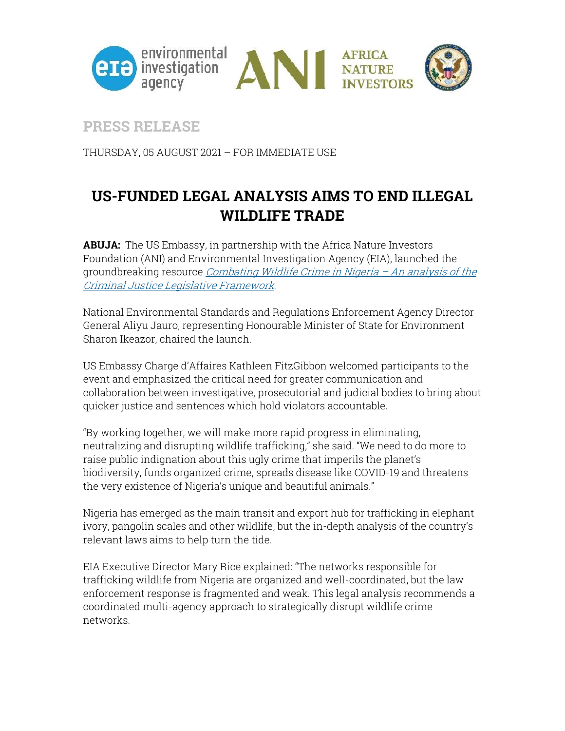

## **PRESS RELEASE**

THURSDAY, 05 AUGUST 2021 – FOR IMMEDIATE USE

## **US-FUNDED LEGAL ANALYSIS AIMS TO END ILLEGAL WILDLIFE TRADE**

**ABUJA:** The US Embassy, in partnership with the Africa Nature Investors Foundation (ANI) and Environmental Investigation Agency (EIA), launched the groundbreaking resource [Combating Wildlife Crime in Nigeria](https://eia-international.org/wp-content/uploads/Combating-Wildlife-Crime-in-Nigeria-2021-FINAL.pdf) – An analysis of the [Criminal Justice Legislative Framework](https://eia-international.org/wp-content/uploads/Combating-Wildlife-Crime-in-Nigeria-2021-FINAL.pdf).

National Environmental Standards and Regulations Enforcement Agency Director General Aliyu Jauro, representing Honourable Minister of State for Environment Sharon Ikeazor, chaired the launch.

US Embassy Charge d'Affaires Kathleen FitzGibbon welcomed participants to the event and emphasized the critical need for greater communication and collaboration between investigative, prosecutorial and judicial bodies to bring about quicker justice and sentences which hold violators accountable.

"By working together, we will make more rapid progress in eliminating, neutralizing and disrupting wildlife trafficking," she said. "We need to do more to raise public indignation about this ugly crime that imperils the planet's biodiversity, funds organized crime, spreads disease like COVID-19 and threatens the very existence of Nigeria's unique and beautiful animals."

Nigeria has emerged as the main transit and export hub for trafficking in elephant ivory, pangolin scales and other wildlife, but the in-depth analysis of the country's relevant laws aims to help turn the tide.

EIA Executive Director Mary Rice explained: "The networks responsible for trafficking wildlife from Nigeria are organized and well-coordinated, but the law enforcement response is fragmented and weak. This legal analysis recommends a coordinated multi-agency approach to strategically disrupt wildlife crime networks.